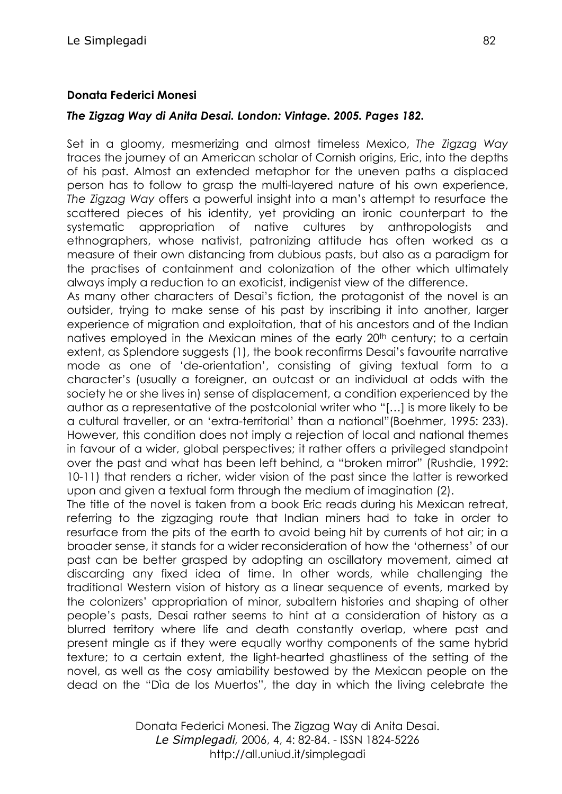## **Donata Federici Monesi**

## *The Zigzag Way di Anita Desai. London: Vintage. 2005. Pages 182.*

Set in a gloomy, mesmerizing and almost timeless Mexico, *The Zigzag Way* traces the journey of an American scholar of Cornish origins, Eric, into the depths of his past. Almost an extended metaphor for the uneven paths a displaced person has to follow to grasp the multi-layered nature of his own experience, *The Zigzag Way* offers a powerful insight into a man's attempt to resurface the scattered pieces of his identity, yet providing an ironic counterpart to the systematic appropriation of native cultures by anthropologists and ethnographers, whose nativist, patronizing attitude has often worked as a measure of their own distancing from dubious pasts, but also as a paradigm for the practises of containment and colonization of the other which ultimately always imply a reduction to an exoticist, indigenist view of the difference.

As many other characters of Desai's fiction, the protagonist of the novel is an outsider, trying to make sense of his past by inscribing it into another, larger experience of migration and exploitation, that of his ancestors and of the Indian natives employed in the Mexican mines of the early 20<sup>th</sup> century; to a certain extent, as Splendore suggests (1), the book reconfirms Desai's favourite narrative mode as one of 'de-orientation', consisting of giving textual form to a character's (usually a foreigner, an outcast or an individual at odds with the society he or she lives in) sense of displacement, a condition experienced by the author as a representative of the postcolonial writer who "[…] is more likely to be a cultural traveller, or an 'extra-territorial' than a national"(Boehmer, 1995: 233). However, this condition does not imply a rejection of local and national themes in favour of a wider, global perspectives; it rather offers a privileged standpoint over the past and what has been left behind, a "broken mirror" (Rushdie, 1992: 10-11) that renders a richer, wider vision of the past since the latter is reworked upon and given a textual form through the medium of imagination (2).

The title of the novel is taken from a book Eric reads during his Mexican retreat, referring to the zigzaging route that Indian miners had to take in order to resurface from the pits of the earth to avoid being hit by currents of hot air; in a broader sense, it stands for a wider reconsideration of how the 'otherness' of our past can be better grasped by adopting an oscillatory movement, aimed at discarding any fixed idea of time. In other words, while challenging the traditional Western vision of history as a linear sequence of events, marked by the colonizers' appropriation of minor, subaltern histories and shaping of other people's pasts, Desai rather seems to hint at a consideration of history as a blurred territory where life and death constantly overlap, where past and present mingle as if they were equally worthy components of the same hybrid texture; to a certain extent, the light-hearted ghastliness of the setting of the novel, as well as the cosy amiability bestowed by the Mexican people on the dead on the "Dìa de los Muertos", the day in which the living celebrate the

> Donata Federici Monesi. The Zigzag Way di Anita Desai. *Le Simplegadi,* 2006, 4, 4: 82-84. - ISSN 1824-5226 http://all.uniud.it/simplegadi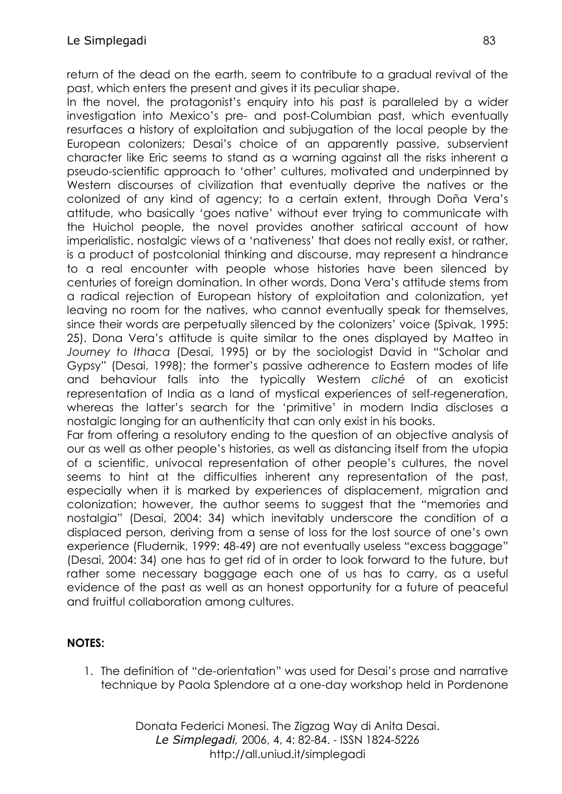return of the dead on the earth, seem to contribute to a gradual revival of the past, which enters the present and gives it its peculiar shape.

In the novel, the protagonist's enquiry into his past is paralleled by a wider investigation into Mexico's pre- and post-Columbian past, which eventually resurfaces a history of exploitation and subjugation of the local people by the European colonizers; Desai's choice of an apparently passive, subservient character like Eric seems to stand as a warning against all the risks inherent a pseudo-scientific approach to 'other' cultures, motivated and underpinned by Western discourses of civilization that eventually deprive the natives or the colonized of any kind of agency; to a certain extent, through Doña Vera's attitude, who basically 'goes native' without ever trying to communicate with the Huichol people, the novel provides another satirical account of how imperialistic, nostalgic views of a 'nativeness' that does not really exist, or rather, is a product of postcolonial thinking and discourse, may represent a hindrance to a real encounter with people whose histories have been silenced by centuries of foreign domination. In other words, Dona Vera's attitude stems from a radical rejection of European history of exploitation and colonization, yet leaving no room for the natives, who cannot eventually speak for themselves, since their words are perpetually silenced by the colonizers' voice (Spivak, 1995: 25). Dona Vera's attitude is quite similar to the ones displayed by Matteo in *Journey to Ithaca* (Desai, 1995) or by the sociologist David in "Scholar and Gypsy" (Desai, 1998); the former's passive adherence to Eastern modes of life and behaviour falls into the typically Western *cliché* of an exoticist representation of India as a land of mystical experiences of self-regeneration, whereas the latter's search for the 'primitive' in modern India discloses a nostalgic longing for an authenticity that can only exist in his books.

Far from offering a resolutory ending to the question of an objective analysis of our as well as other people's histories, as well as distancing itself from the utopia of a scientific, univocal representation of other people's cultures, the novel seems to hint at the difficulties inherent any representation of the past, especially when it is marked by experiences of displacement, migration and colonization; however, the author seems to suggest that the "memories and nostalgia" (Desai, 2004: 34) which inevitably underscore the condition of a displaced person, deriving from a sense of loss for the lost source of one's own experience (Fludernik, 1999: 48-49) are not eventually useless "excess baggage" (Desai, 2004: 34) one has to get rid of in order to look forward to the future, but rather some necessary baggage each one of us has to carry, as a useful evidence of the past as well as an honest opportunity for a future of peaceful and fruitful collaboration among cultures.

## **NOTES:**

1. The definition of "de-orientation" was used for Desai's prose and narrative technique by Paola Splendore at a one-day workshop held in Pordenone

> Donata Federici Monesi. The Zigzag Way di Anita Desai. *Le Simplegadi,* 2006, 4, 4: 82-84. - ISSN 1824-5226 http://all.uniud.it/simplegadi